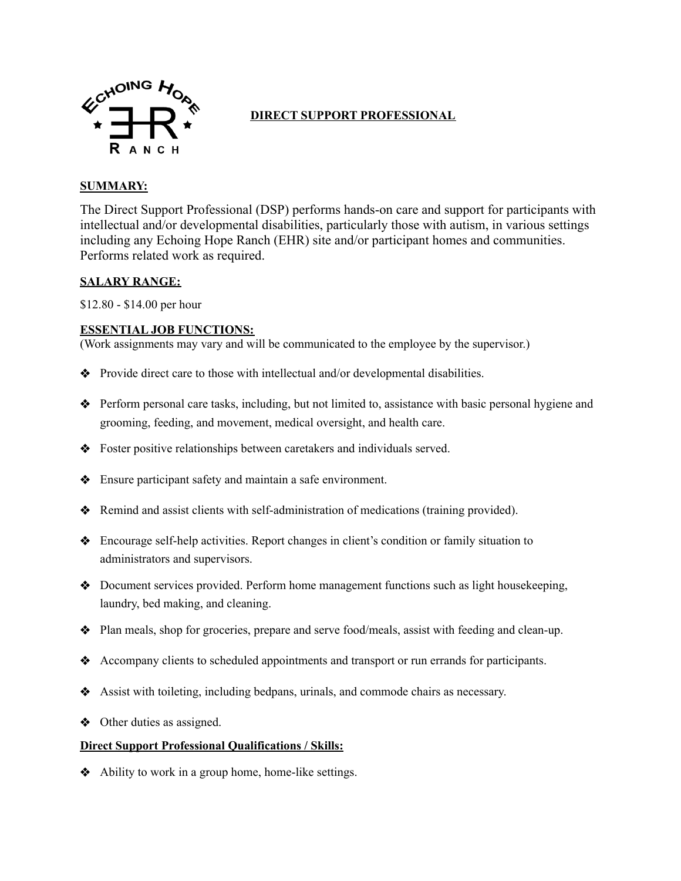

# **DIRECT SUPPORT PROFESSIONAL**

## **SUMMARY:**

The Direct Support Professional (DSP) performs hands-on care and support for participants with intellectual and/or developmental disabilities, particularly those with autism, in various settings including any Echoing Hope Ranch (EHR) site and/or participant homes and communities. Performs related work as required.

### **SALARY RANGE:**

\$12.80 - \$14.00 per hour

#### **ESSENTIAL JOB FUNCTIONS:**

(Work assignments may vary and will be communicated to the employee by the supervisor.)

- ❖ Provide direct care to those with intellectual and/or developmental disabilities.
- ❖ Perform personal care tasks, including, but not limited to, assistance with basic personal hygiene and grooming, feeding, and movement, medical oversight, and health care.
- ❖ Foster positive relationships between caretakers and individuals served.
- ❖ Ensure participant safety and maintain a safe environment.
- ❖ Remind and assist clients with self-administration of medications (training provided).
- ❖ Encourage self-help activities. Report changes in client's condition or family situation to administrators and supervisors.
- ❖ Document services provided. Perform home management functions such as light housekeeping, laundry, bed making, and cleaning.
- ❖ Plan meals, shop for groceries, prepare and serve food/meals, assist with feeding and clean-up.
- ❖ Accompany clients to scheduled appointments and transport or run errands for participants.
- ❖ Assist with toileting, including bedpans, urinals, and commode chairs as necessary.
- ❖ Other duties as assigned.

#### **Direct Support Professional Qualifications / Skills:**

❖ Ability to work in a group home, home-like settings.